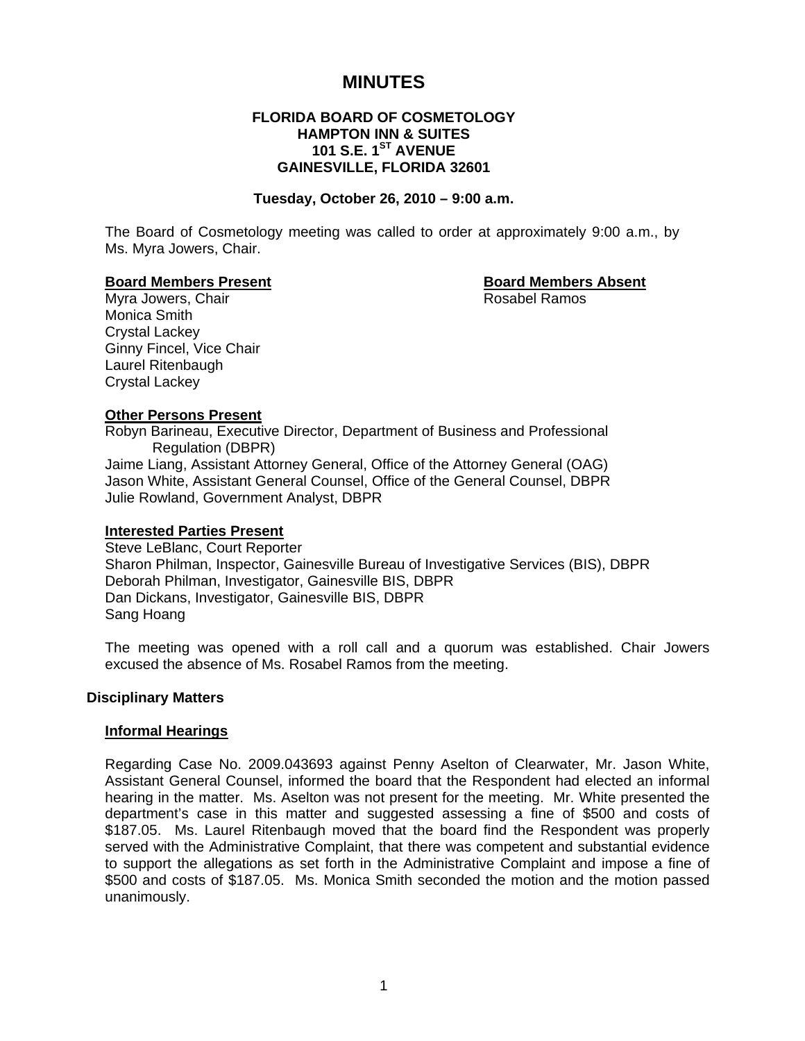# **MINUTES**

# **FLORIDA BOARD OF COSMETOLOGY HAMPTON INN & SUITES 101 S.E. 1<sup>ST</sup> AVENUE GAINESVILLE, FLORIDA 32601**

#### **Tuesday, October 26, 2010 – 9:00 a.m.**

The Board of Cosmetology meeting was called to order at approximately 9:00 a.m., by Ms. Myra Jowers, Chair.

#### **Board Members Present Constraining Board Members Absent**

Myra Jowers, Chair **Rosabel Ramos** Rosabel Ramos Monica Smith Crystal Lackey Ginny Fincel, Vice Chair Laurel Ritenbaugh Crystal Lackey

### **Other Persons Present**

Robyn Barineau, Executive Director, Department of Business and Professional Regulation (DBPR) Jaime Liang, Assistant Attorney General, Office of the Attorney General (OAG) Jason White, Assistant General Counsel, Office of the General Counsel, DBPR Julie Rowland, Government Analyst, DBPR

### **Interested Parties Present**

Steve LeBlanc, Court Reporter Sharon Philman, Inspector, Gainesville Bureau of Investigative Services (BIS), DBPR Deborah Philman, Investigator, Gainesville BIS, DBPR Dan Dickans, Investigator, Gainesville BIS, DBPR Sang Hoang

The meeting was opened with a roll call and a quorum was established. Chair Jowers excused the absence of Ms. Rosabel Ramos from the meeting.

### **Disciplinary Matters**

### **Informal Hearings**

Regarding Case No. 2009.043693 against Penny Aselton of Clearwater, Mr. Jason White, Assistant General Counsel, informed the board that the Respondent had elected an informal hearing in the matter. Ms. Aselton was not present for the meeting. Mr. White presented the department's case in this matter and suggested assessing a fine of \$500 and costs of \$187.05. Ms. Laurel Ritenbaugh moved that the board find the Respondent was properly served with the Administrative Complaint, that there was competent and substantial evidence to support the allegations as set forth in the Administrative Complaint and impose a fine of \$500 and costs of \$187.05. Ms. Monica Smith seconded the motion and the motion passed unanimously.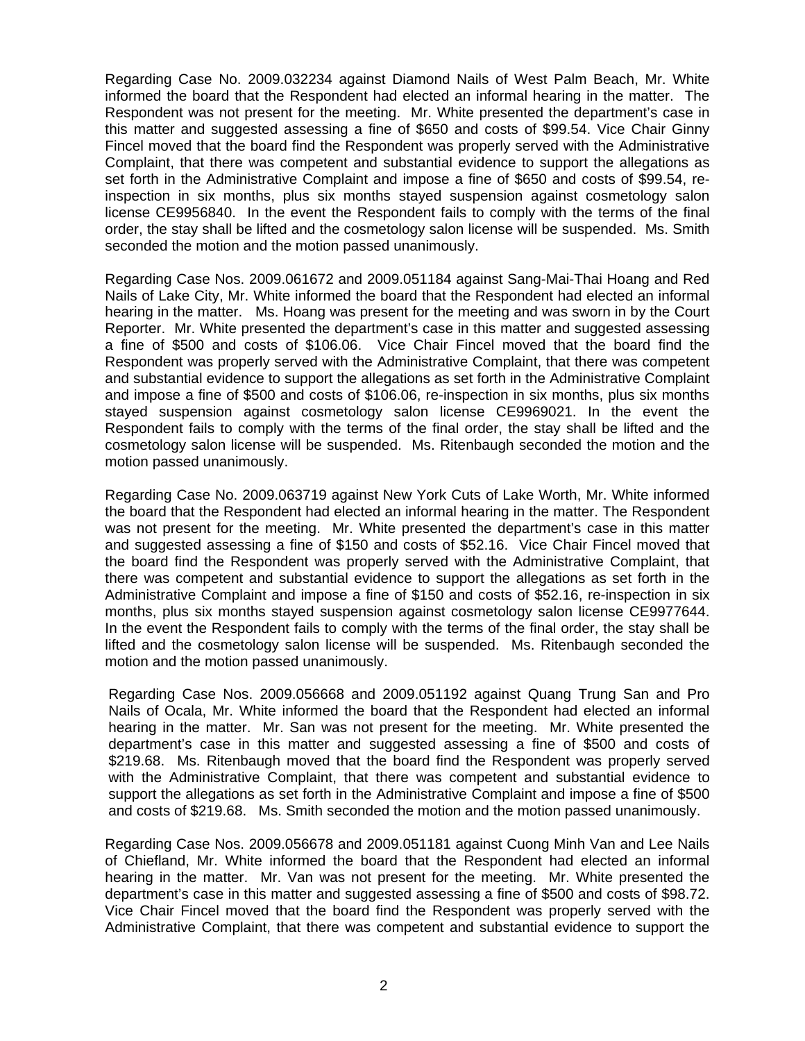Regarding Case No. 2009.032234 against Diamond Nails of West Palm Beach, Mr. White informed the board that the Respondent had elected an informal hearing in the matter. The Respondent was not present for the meeting. Mr. White presented the department's case in this matter and suggested assessing a fine of \$650 and costs of \$99.54. Vice Chair Ginny Fincel moved that the board find the Respondent was properly served with the Administrative Complaint, that there was competent and substantial evidence to support the allegations as set forth in the Administrative Complaint and impose a fine of \$650 and costs of \$99.54, reinspection in six months, plus six months stayed suspension against cosmetology salon license CE9956840. In the event the Respondent fails to comply with the terms of the final order, the stay shall be lifted and the cosmetology salon license will be suspended. Ms. Smith seconded the motion and the motion passed unanimously.

Regarding Case Nos. 2009.061672 and 2009.051184 against Sang-Mai-Thai Hoang and Red Nails of Lake City, Mr. White informed the board that the Respondent had elected an informal hearing in the matter. Ms. Hoang was present for the meeting and was sworn in by the Court Reporter. Mr. White presented the department's case in this matter and suggested assessing a fine of \$500 and costs of \$106.06. Vice Chair Fincel moved that the board find the Respondent was properly served with the Administrative Complaint, that there was competent and substantial evidence to support the allegations as set forth in the Administrative Complaint and impose a fine of \$500 and costs of \$106.06, re-inspection in six months, plus six months stayed suspension against cosmetology salon license CE9969021. In the event the Respondent fails to comply with the terms of the final order, the stay shall be lifted and the cosmetology salon license will be suspended. Ms. Ritenbaugh seconded the motion and the motion passed unanimously.

Regarding Case No. 2009.063719 against New York Cuts of Lake Worth, Mr. White informed the board that the Respondent had elected an informal hearing in the matter. The Respondent was not present for the meeting. Mr. White presented the department's case in this matter and suggested assessing a fine of \$150 and costs of \$52.16. Vice Chair Fincel moved that the board find the Respondent was properly served with the Administrative Complaint, that there was competent and substantial evidence to support the allegations as set forth in the Administrative Complaint and impose a fine of \$150 and costs of \$52.16, re-inspection in six months, plus six months stayed suspension against cosmetology salon license CE9977644. In the event the Respondent fails to comply with the terms of the final order, the stay shall be lifted and the cosmetology salon license will be suspended. Ms. Ritenbaugh seconded the motion and the motion passed unanimously.

Regarding Case Nos. 2009.056668 and 2009.051192 against Quang Trung San and Pro Nails of Ocala, Mr. White informed the board that the Respondent had elected an informal hearing in the matter. Mr. San was not present for the meeting. Mr. White presented the department's case in this matter and suggested assessing a fine of \$500 and costs of \$219.68. Ms. Ritenbaugh moved that the board find the Respondent was properly served with the Administrative Complaint, that there was competent and substantial evidence to support the allegations as set forth in the Administrative Complaint and impose a fine of \$500 and costs of \$219.68. Ms. Smith seconded the motion and the motion passed unanimously.

Regarding Case Nos. 2009.056678 and 2009.051181 against Cuong Minh Van and Lee Nails of Chiefland, Mr. White informed the board that the Respondent had elected an informal hearing in the matter. Mr. Van was not present for the meeting. Mr. White presented the department's case in this matter and suggested assessing a fine of \$500 and costs of \$98.72. Vice Chair Fincel moved that the board find the Respondent was properly served with the Administrative Complaint, that there was competent and substantial evidence to support the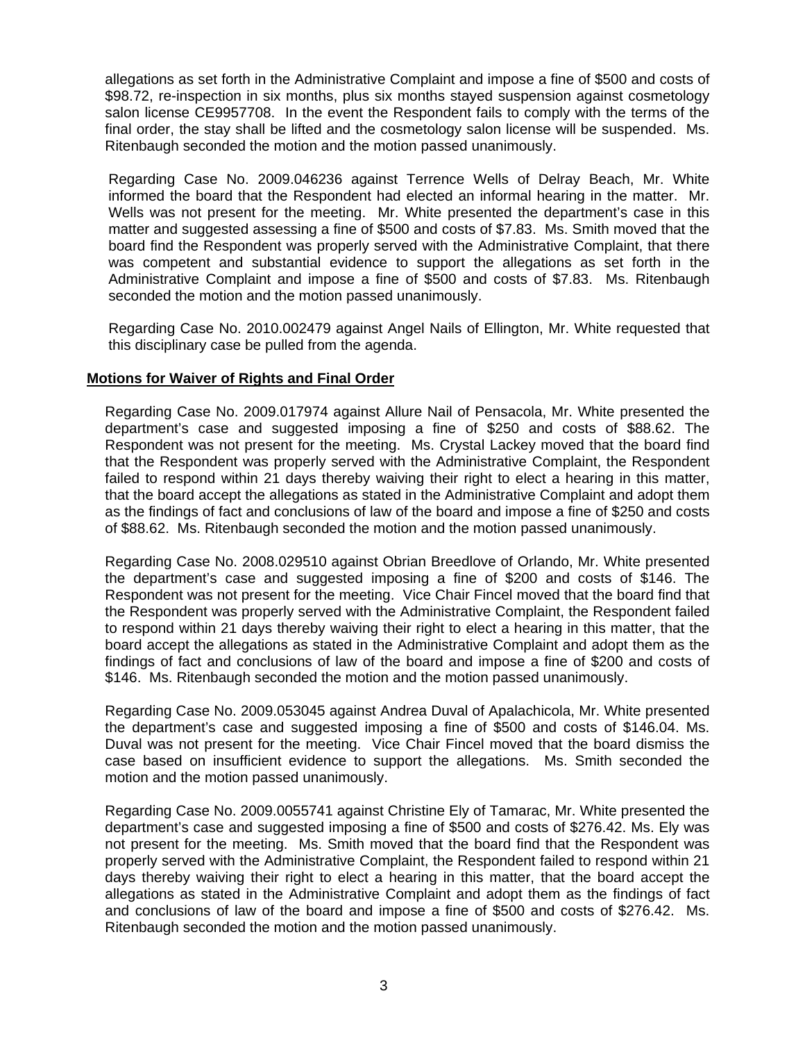allegations as set forth in the Administrative Complaint and impose a fine of \$500 and costs of \$98.72, re-inspection in six months, plus six months stayed suspension against cosmetology salon license CE9957708. In the event the Respondent fails to comply with the terms of the final order, the stay shall be lifted and the cosmetology salon license will be suspended. Ms. Ritenbaugh seconded the motion and the motion passed unanimously.

Regarding Case No. 2009.046236 against Terrence Wells of Delray Beach, Mr. White informed the board that the Respondent had elected an informal hearing in the matter. Mr. Wells was not present for the meeting. Mr. White presented the department's case in this matter and suggested assessing a fine of \$500 and costs of \$7.83. Ms. Smith moved that the board find the Respondent was properly served with the Administrative Complaint, that there was competent and substantial evidence to support the allegations as set forth in the Administrative Complaint and impose a fine of \$500 and costs of \$7.83. Ms. Ritenbaugh seconded the motion and the motion passed unanimously.

Regarding Case No. 2010.002479 against Angel Nails of Ellington, Mr. White requested that this disciplinary case be pulled from the agenda.

## **Motions for Waiver of Rights and Final Order**

Regarding Case No. 2009.017974 against Allure Nail of Pensacola, Mr. White presented the department's case and suggested imposing a fine of \$250 and costs of \$88.62. The Respondent was not present for the meeting. Ms. Crystal Lackey moved that the board find that the Respondent was properly served with the Administrative Complaint, the Respondent failed to respond within 21 days thereby waiving their right to elect a hearing in this matter, that the board accept the allegations as stated in the Administrative Complaint and adopt them as the findings of fact and conclusions of law of the board and impose a fine of \$250 and costs of \$88.62. Ms. Ritenbaugh seconded the motion and the motion passed unanimously.

Regarding Case No. 2008.029510 against Obrian Breedlove of Orlando, Mr. White presented the department's case and suggested imposing a fine of \$200 and costs of \$146. The Respondent was not present for the meeting. Vice Chair Fincel moved that the board find that the Respondent was properly served with the Administrative Complaint, the Respondent failed to respond within 21 days thereby waiving their right to elect a hearing in this matter, that the board accept the allegations as stated in the Administrative Complaint and adopt them as the findings of fact and conclusions of law of the board and impose a fine of \$200 and costs of \$146. Ms. Ritenbaugh seconded the motion and the motion passed unanimously.

Regarding Case No. 2009.053045 against Andrea Duval of Apalachicola, Mr. White presented the department's case and suggested imposing a fine of \$500 and costs of \$146.04. Ms. Duval was not present for the meeting. Vice Chair Fincel moved that the board dismiss the case based on insufficient evidence to support the allegations. Ms. Smith seconded the motion and the motion passed unanimously.

Regarding Case No. 2009.0055741 against Christine Ely of Tamarac, Mr. White presented the department's case and suggested imposing a fine of \$500 and costs of \$276.42. Ms. Ely was not present for the meeting. Ms. Smith moved that the board find that the Respondent was properly served with the Administrative Complaint, the Respondent failed to respond within 21 days thereby waiving their right to elect a hearing in this matter, that the board accept the allegations as stated in the Administrative Complaint and adopt them as the findings of fact and conclusions of law of the board and impose a fine of \$500 and costs of \$276.42. Ms. Ritenbaugh seconded the motion and the motion passed unanimously.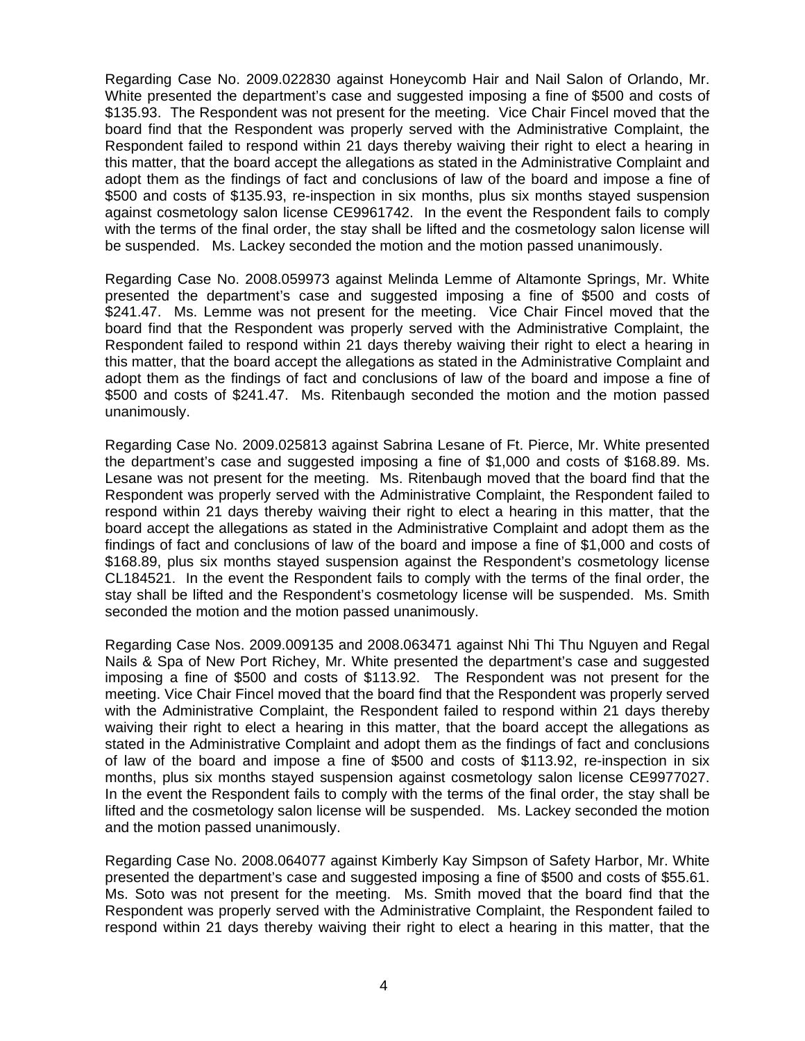Regarding Case No. 2009.022830 against Honeycomb Hair and Nail Salon of Orlando, Mr. White presented the department's case and suggested imposing a fine of \$500 and costs of \$135.93. The Respondent was not present for the meeting. Vice Chair Fincel moved that the board find that the Respondent was properly served with the Administrative Complaint, the Respondent failed to respond within 21 days thereby waiving their right to elect a hearing in this matter, that the board accept the allegations as stated in the Administrative Complaint and adopt them as the findings of fact and conclusions of law of the board and impose a fine of \$500 and costs of \$135.93, re-inspection in six months, plus six months stayed suspension against cosmetology salon license CE9961742. In the event the Respondent fails to comply with the terms of the final order, the stay shall be lifted and the cosmetology salon license will be suspended. Ms. Lackey seconded the motion and the motion passed unanimously.

Regarding Case No. 2008.059973 against Melinda Lemme of Altamonte Springs, Mr. White presented the department's case and suggested imposing a fine of \$500 and costs of \$241.47. Ms. Lemme was not present for the meeting. Vice Chair Fincel moved that the board find that the Respondent was properly served with the Administrative Complaint, the Respondent failed to respond within 21 days thereby waiving their right to elect a hearing in this matter, that the board accept the allegations as stated in the Administrative Complaint and adopt them as the findings of fact and conclusions of law of the board and impose a fine of \$500 and costs of \$241.47. Ms. Ritenbaugh seconded the motion and the motion passed unanimously.

Regarding Case No. 2009.025813 against Sabrina Lesane of Ft. Pierce, Mr. White presented the department's case and suggested imposing a fine of \$1,000 and costs of \$168.89. Ms. Lesane was not present for the meeting. Ms. Ritenbaugh moved that the board find that the Respondent was properly served with the Administrative Complaint, the Respondent failed to respond within 21 days thereby waiving their right to elect a hearing in this matter, that the board accept the allegations as stated in the Administrative Complaint and adopt them as the findings of fact and conclusions of law of the board and impose a fine of \$1,000 and costs of \$168.89, plus six months stayed suspension against the Respondent's cosmetology license CL184521. In the event the Respondent fails to comply with the terms of the final order, the stay shall be lifted and the Respondent's cosmetology license will be suspended. Ms. Smith seconded the motion and the motion passed unanimously.

Regarding Case Nos. 2009.009135 and 2008.063471 against Nhi Thi Thu Nguyen and Regal Nails & Spa of New Port Richey, Mr. White presented the department's case and suggested imposing a fine of \$500 and costs of \$113.92. The Respondent was not present for the meeting. Vice Chair Fincel moved that the board find that the Respondent was properly served with the Administrative Complaint, the Respondent failed to respond within 21 days thereby waiving their right to elect a hearing in this matter, that the board accept the allegations as stated in the Administrative Complaint and adopt them as the findings of fact and conclusions of law of the board and impose a fine of \$500 and costs of \$113.92, re-inspection in six months, plus six months stayed suspension against cosmetology salon license CE9977027. In the event the Respondent fails to comply with the terms of the final order, the stay shall be lifted and the cosmetology salon license will be suspended. Ms. Lackey seconded the motion and the motion passed unanimously.

Regarding Case No. 2008.064077 against Kimberly Kay Simpson of Safety Harbor, Mr. White presented the department's case and suggested imposing a fine of \$500 and costs of \$55.61. Ms. Soto was not present for the meeting. Ms. Smith moved that the board find that the Respondent was properly served with the Administrative Complaint, the Respondent failed to respond within 21 days thereby waiving their right to elect a hearing in this matter, that the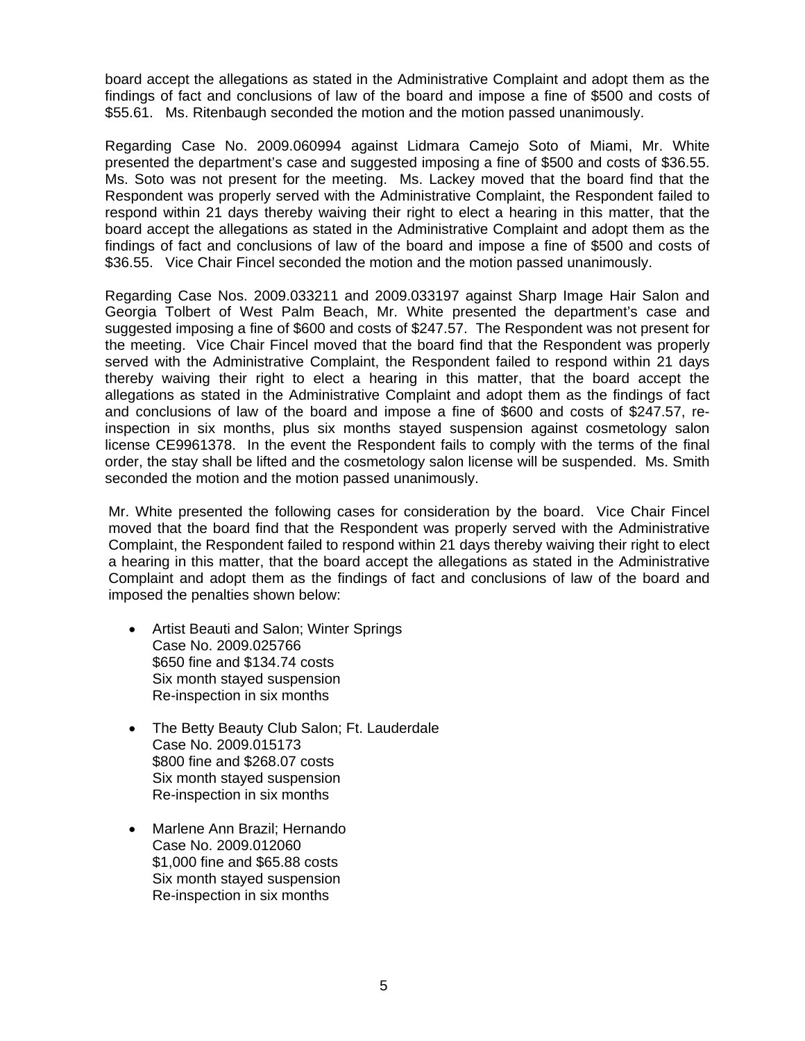board accept the allegations as stated in the Administrative Complaint and adopt them as the findings of fact and conclusions of law of the board and impose a fine of \$500 and costs of \$55.61. Ms. Ritenbaugh seconded the motion and the motion passed unanimously.

Regarding Case No. 2009.060994 against Lidmara Camejo Soto of Miami, Mr. White presented the department's case and suggested imposing a fine of \$500 and costs of \$36.55. Ms. Soto was not present for the meeting. Ms. Lackey moved that the board find that the Respondent was properly served with the Administrative Complaint, the Respondent failed to respond within 21 days thereby waiving their right to elect a hearing in this matter, that the board accept the allegations as stated in the Administrative Complaint and adopt them as the findings of fact and conclusions of law of the board and impose a fine of \$500 and costs of \$36.55. Vice Chair Fincel seconded the motion and the motion passed unanimously.

Regarding Case Nos. 2009.033211 and 2009.033197 against Sharp Image Hair Salon and Georgia Tolbert of West Palm Beach, Mr. White presented the department's case and suggested imposing a fine of \$600 and costs of \$247.57. The Respondent was not present for the meeting. Vice Chair Fincel moved that the board find that the Respondent was properly served with the Administrative Complaint, the Respondent failed to respond within 21 days thereby waiving their right to elect a hearing in this matter, that the board accept the allegations as stated in the Administrative Complaint and adopt them as the findings of fact and conclusions of law of the board and impose a fine of \$600 and costs of \$247.57, reinspection in six months, plus six months stayed suspension against cosmetology salon license CE9961378. In the event the Respondent fails to comply with the terms of the final order, the stay shall be lifted and the cosmetology salon license will be suspended. Ms. Smith seconded the motion and the motion passed unanimously.

Mr. White presented the following cases for consideration by the board. Vice Chair Fincel moved that the board find that the Respondent was properly served with the Administrative Complaint, the Respondent failed to respond within 21 days thereby waiving their right to elect a hearing in this matter, that the board accept the allegations as stated in the Administrative Complaint and adopt them as the findings of fact and conclusions of law of the board and imposed the penalties shown below:

- Artist Beauti and Salon; Winter Springs Case No. 2009.025766 \$650 fine and \$134.74 costs Six month stayed suspension Re-inspection in six months
- The Betty Beauty Club Salon; Ft. Lauderdale Case No. 2009.015173 \$800 fine and \$268.07 costs Six month stayed suspension Re-inspection in six months
- Marlene Ann Brazil; Hernando Case No. 2009.012060 \$1,000 fine and \$65.88 costs Six month stayed suspension Re-inspection in six months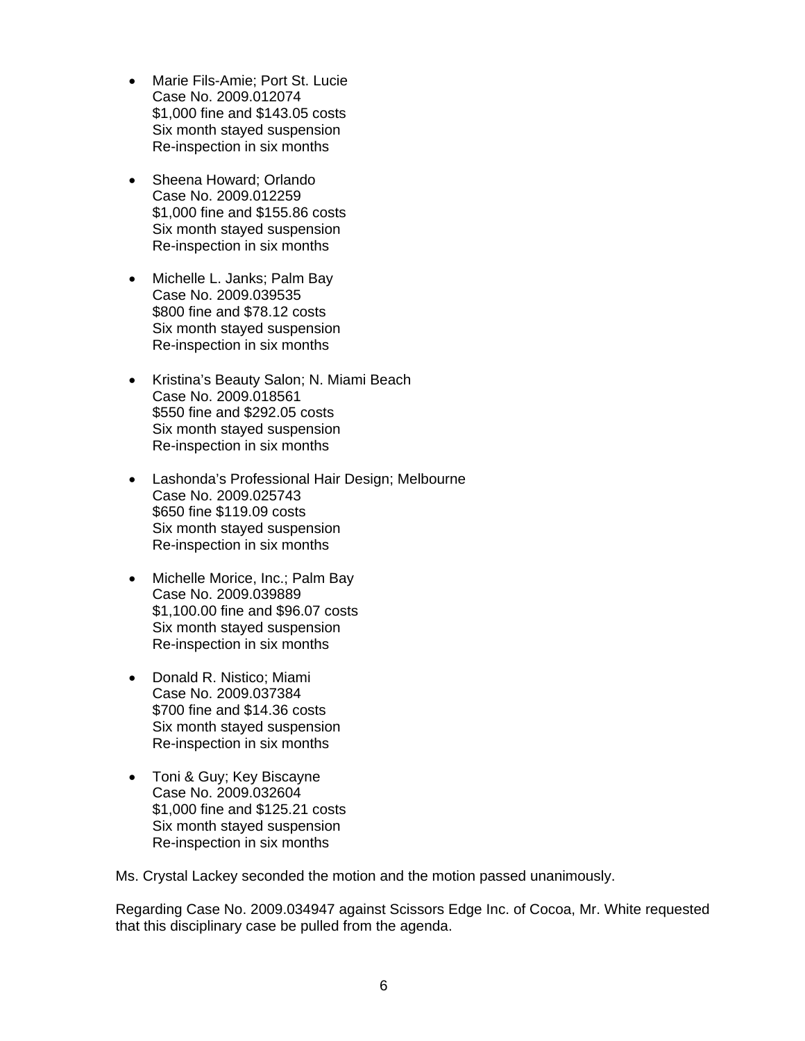- Marie Fils-Amie; Port St. Lucie Case No. 2009.012074 \$1,000 fine and \$143.05 costs Six month stayed suspension Re-inspection in six months
- Sheena Howard; Orlando Case No. 2009.012259 \$1,000 fine and \$155.86 costs Six month stayed suspension Re-inspection in six months
- Michelle L. Janks; Palm Bay Case No. 2009.039535 \$800 fine and \$78.12 costs Six month stayed suspension Re-inspection in six months
- Kristina's Beauty Salon; N. Miami Beach Case No. 2009.018561 \$550 fine and \$292.05 costs Six month stayed suspension Re-inspection in six months
- Lashonda's Professional Hair Design; Melbourne Case No. 2009.025743 \$650 fine \$119.09 costs Six month stayed suspension Re-inspection in six months
- Michelle Morice, Inc.; Palm Bay Case No. 2009.039889 \$1,100.00 fine and \$96.07 costs Six month stayed suspension Re-inspection in six months
- Donald R. Nistico; Miami Case No. 2009.037384 \$700 fine and \$14.36 costs Six month stayed suspension Re-inspection in six months
- Toni & Guy; Key Biscayne Case No. 2009.032604 \$1,000 fine and \$125.21 costs Six month stayed suspension Re-inspection in six months

Ms. Crystal Lackey seconded the motion and the motion passed unanimously.

Regarding Case No. 2009.034947 against Scissors Edge Inc. of Cocoa, Mr. White requested that this disciplinary case be pulled from the agenda.